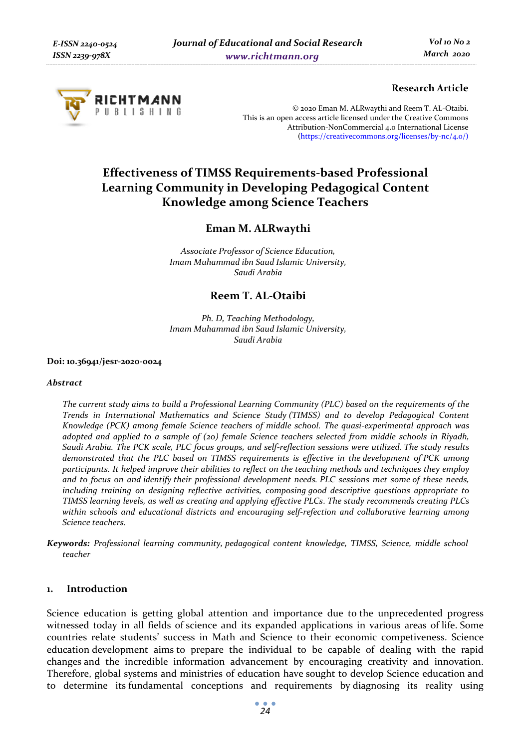

## **Research Article**

© 2020 Eman M. ALRwaythi and Reem T. AL-Otaibi. This is an open access article licensed under the Creative Commons Attribution-NonCommercial 4.0 International License (https://creativecommons.org/licenses/by-nc/4.0/)

# **Effectiveness of TIMSS Requirements-based Professional Learning Community in Developing Pedagogical Content Knowledge among Science Teachers**

## **Eman M. ALRwaythi**

*Associate Professor of Science Education, Imam Muhammad ibn Saud Islamic University, Saudi Arabia* 

## **Reem T. AL-Otaibi**

*Ph. D, Teaching Methodology, Imam Muhammad ibn Saud Islamic University, Saudi Arabia* 

**Doi: 10.36941/jesr-2020-0024** 

#### *Abstract*

*The current study aims to build a Professional Learning Community (PLC) based on the requirements of the Trends in International Mathematics and Science Study (TIMSS) and to develop Pedagogical Content Knowledge (PCK) among female Science teachers of middle school. The quasi-experimental approach was adopted and applied to a sample of (20) female Science teachers selected from middle schools in Riyadh, Saudi Arabia. The PCK scale, PLC focus groups, and self-reflection sessions were utilized. The study results demonstrated that the PLC based on TIMSS requirements is effective in the development of PCK among participants. It helped improve their abilities to reflect on the teaching methods and techniques they employ and to focus on and identify their professional development needs. PLC sessions met some of these needs, including training on designing reflective activities, composing good descriptive questions appropriate to TIMSS learning levels, as well as creating and applying effective PLCs*. *The study recommends creating PLCs*  within schools and educational districts and encouraging self-refection and collaborative learning among *Science teachers.*

*Keywords: Professional learning community,**pedagogical content knowledge, TIMSS, Science, middle school teacher* 

### **1. Introduction**

Science education is getting global attention and importance due to the unprecedented progress witnessed today in all fields of science and its expanded applications in various areas of life. Some countries relate students' success in Math and Science to their economic competiveness. Science education development aims to prepare the individual to be capable of dealing with the rapid changes and the incredible information advancement by encouraging creativity and innovation. Therefore, global systems and ministries of education have sought to develop Science education and to determine its fundamental conceptions and requirements by diagnosing its reality using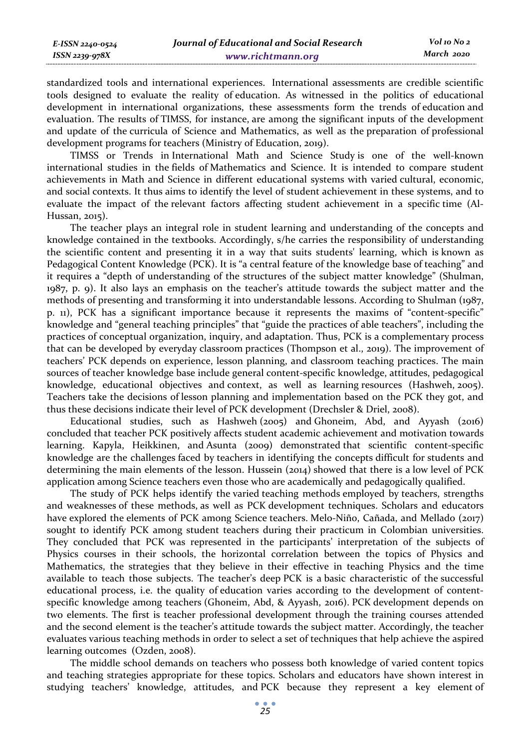| E-ISSN 2240-0524    | Journal of Educational and Social Research | Vol 10 No 2 |
|---------------------|--------------------------------------------|-------------|
| $ISSN$ 2239-97 $8X$ | www.richtmann.org                          | March 2020  |

standardized tools and international experiences. International assessments are credible scientific tools designed to evaluate the reality of education. As witnessed in the politics of educational development in international organizations, these assessments form the trends of education and evaluation. The results of TIMSS, for instance, are among the significant inputs of the development and update of the curricula of Science and Mathematics, as well as the preparation of professional development programs for teachers (Ministry of Education, 2019).

TIMSS or Trends in International Math and Science Study is one of the well-known international studies in the fields of Mathematics and Science. It is intended to compare student achievements in Math and Science in different educational systems with varied cultural, economic, and social contexts. It thus aims to identify the level of student achievement in these systems, and to evaluate the impact of the relevant factors affecting student achievement in a specific time (Al-Hussan, 2015).

The teacher plays an integral role in student learning and understanding of the concepts and knowledge contained in the textbooks. Accordingly, s/he carries the responsibility of understanding the scientific content and presenting it in a way that suits students' learning, which is known as Pedagogical Content Knowledge (PCK). It is "a central feature of the knowledge base of teaching" and it requires a "depth of understanding of the structures of the subject matter knowledge" (Shulman, 1987, p. 9). It also lays an emphasis on the teacher's attitude towards the subject matter and the methods of presenting and transforming it into understandable lessons. According to Shulman (1987, p. 11), PCK has a significant importance because it represents the maxims of "content-specific" knowledge and "general teaching principles" that "guide the practices of able teachers", including the practices of conceptual organization, inquiry, and adaptation. Thus, PCK is a complementary process that can be developed by everyday classroom practices (Thompson et al., 2019). The improvement of teachers' PCK depends on experience, lesson planning, and classroom teaching practices. The main sources of teacher knowledge base include general content-specific knowledge, attitudes, pedagogical knowledge, educational objectives and context, as well as learning resources (Hashweh, 2005). Teachers take the decisions of lesson planning and implementation based on the PCK they got, and thus these decisions indicate their level of PCK development (Drechsler & Driel, 2008).

Educational studies, such as Hashweh (2005) and Ghoneim, Abd, and Ayyash (2016) concluded that teacher PCK positively affects student academic achievement and motivation towards learning. Kapyla, Heikkinen, and Asunta (2009) demonstrated that scientific content-specific knowledge are the challenges faced by teachers in identifying the concepts difficult for students and determining the main elements of the lesson. Hussein (2014) showed that there is a low level of PCK application among Science teachers even those who are academically and pedagogically qualified.

The study of PCK helps identify the varied teaching methods employed by teachers, strengths and weaknesses of these methods, as well as PCK development techniques. Scholars and educators have explored the elements of PCK among Science teachers. Melo-Niño, Cañada, and Mellado (2017) sought to identify PCK among student teachers during their practicum in Colombian universities. They concluded that PCK was represented in the participants' interpretation of the subjects of Physics courses in their schools, the horizontal correlation between the topics of Physics and Mathematics, the strategies that they believe in their effective in teaching Physics and the time available to teach those subjects. The teacher's deep PCK is a basic characteristic of the successful educational process, i.e. the quality of education varies according to the development of contentspecific knowledge among teachers (Ghoneim, Abd, & Ayyash, 2016). PCK development depends on two elements. The first is teacher professional development through the training courses attended and the second element is the teacher's attitude towards the subject matter. Accordingly, the teacher evaluates various teaching methods in order to select a set of techniques that help achieve the aspired learning outcomes (Ozden, 2008).

The middle school demands on teachers who possess both knowledge of varied content topics and teaching strategies appropriate for these topics. Scholars and educators have shown interest in studying teachers' knowledge, attitudes, and PCK because they represent a key element of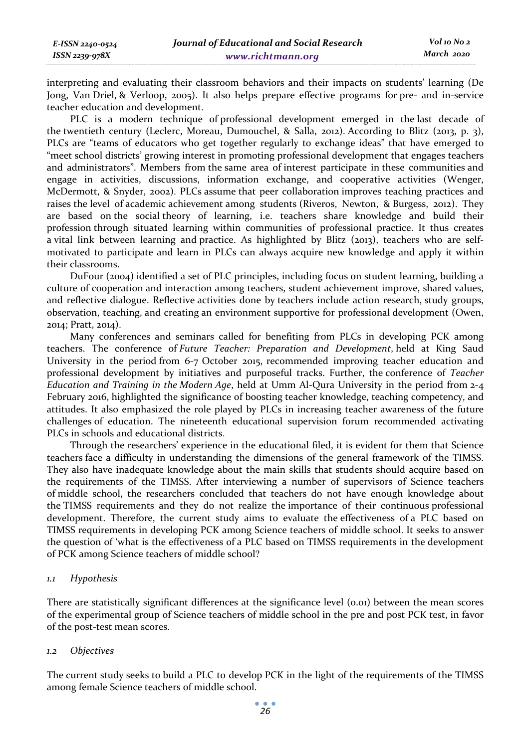interpreting and evaluating their classroom behaviors and their impacts on students' learning (De Jong, Van Driel, & Verloop, 2005). It also helps prepare effective programs for pre- and in-service teacher education and development.

PLC is a modern technique of professional development emerged in the last decade of the twentieth century (Leclerc, Moreau, Dumouchel, & Salla, 2012). According to Blitz (2013, p. 3), PLCs are "teams of educators who get together regularly to exchange ideas" that have emerged to "meet school districts' growing interest in promoting professional development that engages teachers and administrators". Members from the same area of interest participate in these communities and engage in activities, discussions, information exchange, and cooperative activities (Wenger, McDermott, & Snyder, 2002). PLCs assume that peer collaboration improves teaching practices and raises the level of academic achievement among students (Riveros, Newton, & Burgess, 2012). They are based on the social theory of learning, i.e. teachers share knowledge and build their profession through situated learning within communities of professional practice. It thus creates a vital link between learning and practice. As highlighted by Blitz (2013), teachers who are selfmotivated to participate and learn in PLCs can always acquire new knowledge and apply it within their classrooms.

DuFour (2004) identified a set of PLC principles, including focus on student learning, building a culture of cooperation and interaction among teachers, student achievement improve, shared values, and reflective dialogue. Reflective activities done by teachers include action research, study groups, observation, teaching, and creating an environment supportive for professional development (Owen, 2014; Pratt, 2014).

Many conferences and seminars called for benefiting from PLCs in developing PCK among teachers. The conference of *Future Teacher: Preparation and Development*, held at King Saud University in the period from 6-7 October 2015, recommended improving teacher education and professional development by initiatives and purposeful tracks. Further, the conference of *Teacher Education and Training in the Modern Age*, held at Umm Al-Qura University in the period from 2-4 February 2016, highlighted the significance of boosting teacher knowledge, teaching competency, and attitudes. It also emphasized the role played by PLCs in increasing teacher awareness of the future challenges of education. The nineteenth educational supervision forum recommended activating PLCs in schools and educational districts.

Through the researchers' experience in the educational filed, it is evident for them that Science teachers face a difficulty in understanding the dimensions of the general framework of the TIMSS. They also have inadequate knowledge about the main skills that students should acquire based on the requirements of the TIMSS. After interviewing a number of supervisors of Science teachers of middle school, the researchers concluded that teachers do not have enough knowledge about the TIMSS requirements and they do not realize the importance of their continuous professional development. Therefore, the current study aims to evaluate the effectiveness of a PLC based on TIMSS requirements in developing PCK among Science teachers of middle school. It seeks to answer the question of 'what is the effectiveness of a PLC based on TIMSS requirements in the development of PCK among Science teachers of middle school?

#### *1.1 Hypothesis*

There are statistically significant differences at the significance level (0.01) between the mean scores of the experimental group of Science teachers of middle school in the pre and post PCK test, in favor of the post-test mean scores.

#### *1.2 Objectives*

The current study seeks to build a PLC to develop PCK in the light of the requirements of the TIMSS among female Science teachers of middle school.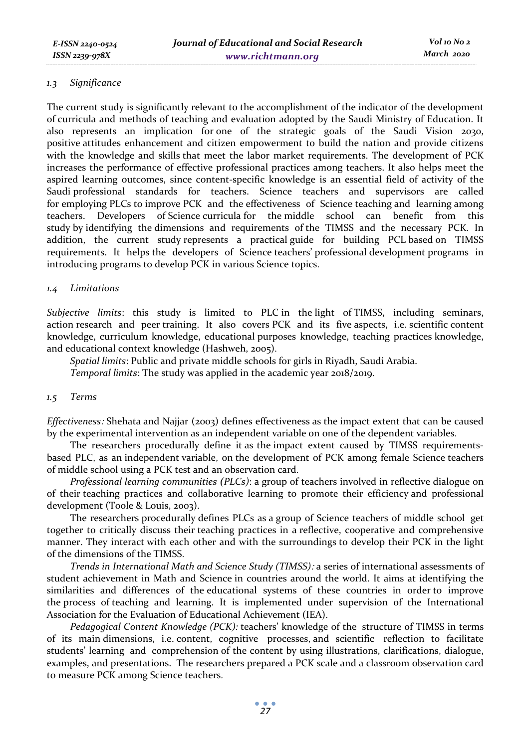## *1.3 Significance*

The current study is significantly relevant to the accomplishment of the indicator of the development of curricula and methods of teaching and evaluation adopted by the Saudi Ministry of Education. It also represents an implication for one of the strategic goals of the Saudi Vision 2030, positive attitudes enhancement and citizen empowerment to build the nation and provide citizens with the knowledge and skills that meet the labor market requirements. The development of PCK increases the performance of effective professional practices among teachers. It also helps meet the aspired learning outcomes, since content-specific knowledge is an essential field of activity of the Saudi professional standards for teachers. Science teachers and supervisors are called for employing PLCs to improve PCK and the effectiveness of Science teaching and learning among teachers. Developers of Science curricula for the middle school can benefit from this study by identifying the dimensions and requirements of the TIMSS and the necessary PCK. In addition, the current study represents a practical guide for building PCL based on TIMSS requirements. It helps the developers of Science teachers' professional development programs in introducing programs to develop PCK in various Science topics.

## *1.4 Limitations*

*Subjective limits*: this study is limited to PLC in the light of TIMSS, including seminars, action research and peer training. It also covers PCK and its five aspects, i.e. scientific content knowledge, curriculum knowledge, educational purposes knowledge, teaching practices knowledge, and educational context knowledge (Hashweh, 2005).

*Spatial limits*: Public and private middle schools for girls in Riyadh, Saudi Arabia.

*Temporal limits*: The study was applied in the academic year 2018/2019.

#### *1.5 Terms*

*Effectiveness*: Shehata and Najjar (2003) defines effectiveness as the impact extent that can be caused by the experimental intervention as an independent variable on one of the dependent variables.

The researchers procedurally define it as the impact extent caused by TIMSS requirementsbased PLC, as an independent variable, on the development of PCK among female Science teachers of middle school using a PCK test and an observation card.

*Professional learning communities (PLCs)*: a group of teachers involved in reflective dialogue on of their teaching practices and collaborative learning to promote their efficiency and professional development (Toole & Louis, 2003).

The researchers procedurally defines PLCs as a group of Science teachers of middle school get together to critically discuss their teaching practices in a reflective, cooperative and comprehensive manner. They interact with each other and with the surroundings to develop their PCK in the light of the dimensions of the TIMSS.

*Trends in International Math and Science Study (TIMSS)*: a series of international assessments of student achievement in Math and Science in countries around the world. It aims at identifying the similarities and differences of the educational systems of these countries in order to improve the process of teaching and learning. It is implemented under supervision of the International Association for the Evaluation of Educational Achievement (IEA).

*Pedagogical Content Knowledge (PCK):* teachers' knowledge of the structure of TIMSS in terms of its main dimensions, i.e. content, cognitive processes, and scientific reflection to facilitate students' learning and comprehension of the content by using illustrations, clarifications, dialogue, examples, and presentations. The researchers prepared a PCK scale and a classroom observation card to measure PCK among Science teachers.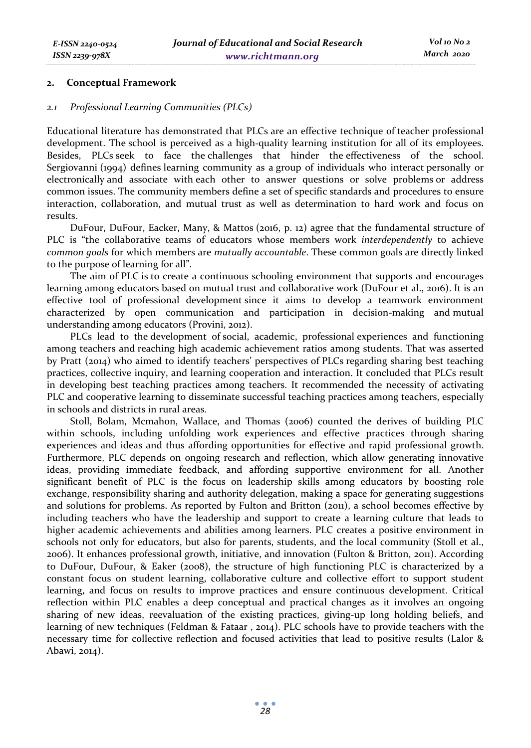#### **2. Conceptual Framework**

#### *2.1 Professional Learning Communities (PLCs)*

Educational literature has demonstrated that PLCs are an effective technique of teacher professional development. The school is perceived as a high-quality learning institution for all of its employees. Besides, PLCs seek to face the challenges that hinder the effectiveness of the school. Sergiovanni (1994) defines learning community as a group of individuals who interact personally or electronically and associate with each other to answer questions or solve problems or address common issues. The community members define a set of specific standards and procedures to ensure interaction, collaboration, and mutual trust as well as determination to hard work and focus on results.

DuFour, DuFour, Eacker, Many, & Mattos (2016, p. 12) agree that the fundamental structure of PLC is "the collaborative teams of educators whose members work *interdependently* to achieve *common goals* for which members are *mutually accountable*. These common goals are directly linked to the purpose of learning for all".

The aim of PLC is to create a continuous schooling environment that supports and encourages learning among educators based on mutual trust and collaborative work (DuFour et al., 2016). It is an effective tool of professional development since it aims to develop a teamwork environment characterized by open communication and participation in decision-making and mutual understanding among educators (Provini, 2012).

PLCs lead to the development of social, academic, professional experiences and functioning among teachers and reaching high academic achievement ratios among students. That was asserted by Pratt (2014) who aimed to identify teachers' perspectives of PLCs regarding sharing best teaching practices, collective inquiry, and learning cooperation and interaction. It concluded that PLCs result in developing best teaching practices among teachers. It recommended the necessity of activating PLC and cooperative learning to disseminate successful teaching practices among teachers, especially in schools and districts in rural areas.

Stoll, Bolam, Mcmahon, Wallace, and Thomas (2006) counted the derives of building PLC within schools, including unfolding work experiences and effective practices through sharing experiences and ideas and thus affording opportunities for effective and rapid professional growth. Furthermore, PLC depends on ongoing research and reflection, which allow generating innovative ideas, providing immediate feedback, and affording supportive environment for all. Another significant benefit of PLC is the focus on leadership skills among educators by boosting role exchange, responsibility sharing and authority delegation, making a space for generating suggestions and solutions for problems. As reported by Fulton and Britton (2011), a school becomes effective by including teachers who have the leadership and support to create a learning culture that leads to higher academic achievements and abilities among learners. PLC creates a positive environment in schools not only for educators, but also for parents, students, and the local community (Stoll et al., 2006). It enhances professional growth, initiative, and innovation (Fulton & Britton, 2011). According to DuFour, DuFour, & Eaker (2008), the structure of high functioning PLC is characterized by a constant focus on student learning, collaborative culture and collective effort to support student learning, and focus on results to improve practices and ensure continuous development. Critical reflection within PLC enables a deep conceptual and practical changes as it involves an ongoing sharing of new ideas, reevaluation of the existing practices, giving-up long holding beliefs, and learning of new techniques (Feldman & Fataar , 2014). PLC schools have to provide teachers with the necessary time for collective reflection and focused activities that lead to positive results (Lalor & Abawi, 2014).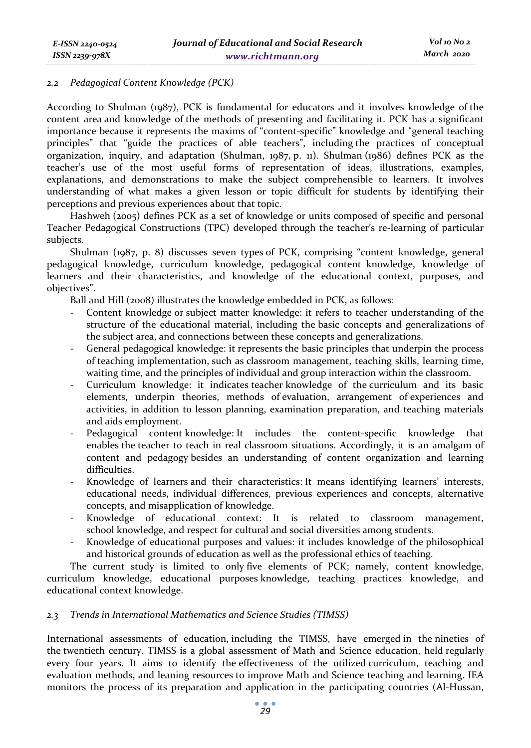#### *2.2 Pedagogical Content Knowledge (PCK)*

According to Shulman (1987), PCK is fundamental for educators and it involves knowledge of the content area and knowledge of the methods of presenting and facilitating it. PCK has a significant importance because it represents the maxims of "content-specific" knowledge and "general teaching principles" that "guide the practices of able teachers", including the practices of conceptual organization, inquiry, and adaptation (Shulman, 1987, p. 11). Shulman (1986) defines PCK as the teacher's use of the most useful forms of representation of ideas, illustrations, examples, explanations, and demonstrations to make the subject comprehensible to learners. It involves understanding of what makes a given lesson or topic difficult for students by identifying their perceptions and previous experiences about that topic.

Hashweh (2005) defines PCK as a set of knowledge or units composed of specific and personal Teacher Pedagogical Constructions (TPC) developed through the teacher's re-learning of particular subjects.

Shulman (1987, p. 8) discusses seven types of PCK, comprising "content knowledge, general pedagogical knowledge, curriculum knowledge, pedagogical content knowledge, knowledge of learners and their characteristics, and knowledge of the educational context, purposes, and objectives".

Ball and Hill (2008) illustrates the knowledge embedded in PCK, as follows:

- Content knowledge or subject matter knowledge: it refers to teacher understanding of the structure of the educational material, including the basic concepts and generalizations of the subject area, and connections between these concepts and generalizations.
- General pedagogical knowledge: it represents the basic principles that underpin the process of teaching implementation, such as classroom management, teaching skills, learning time, waiting time, and the principles of individual and group interaction within the classroom.
- Curriculum knowledge: it indicates teacher knowledge of the curriculum and its basic elements, underpin theories, methods of evaluation, arrangement of experiences and activities, in addition to lesson planning, examination preparation, and teaching materials and aids employment.
- Pedagogical content knowledge: It includes the content-specific knowledge that enables the teacher to teach in real classroom situations. Accordingly, it is an amalgam of content and pedagogy besides an understanding of content organization and learning difficulties.
- Knowledge of learners and their characteristics: It means identifying learners' interests, educational needs, individual differences, previous experiences and concepts, alternative concepts, and misapplication of knowledge.
- Knowledge of educational context: It is related to classroom management, school knowledge, and respect for cultural and social diversities among students.
- Knowledge of educational purposes and values: it includes knowledge of the philosophical and historical grounds of education as well as the professional ethics of teaching.

The current study is limited to only five elements of PCK; namely, content knowledge, curriculum knowledge, educational purposes knowledge, teaching practices knowledge, and educational context knowledge.

## *2.3 Trends in International Mathematics and Science Studies (TIMSS)*

International assessments of education, including the TIMSS, have emerged in the nineties of the twentieth century. TIMSS is a global assessment of Math and Science education, held regularly every four years. It aims to identify the effectiveness of the utilized curriculum, teaching and evaluation methods, and leaning resources to improve Math and Science teaching and learning. IEA monitors the process of its preparation and application in the participating countries (Al-Hussan,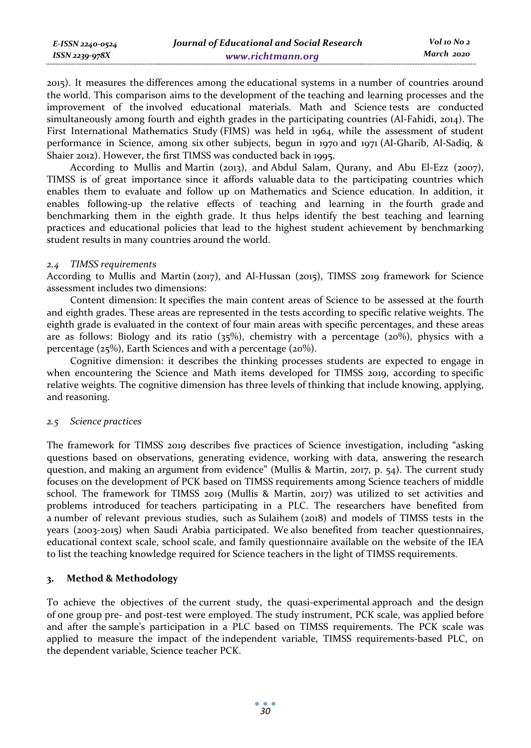| E-ISSN 2240-0524 | Journal of Educational and Social Research | Vol 10 No 2 |
|------------------|--------------------------------------------|-------------|
| ISSN 2239-978X   | www.richtmann.org                          | March 2020  |

2015). It measures the differences among the educational systems in a number of countries around the world. This comparison aims to the development of the teaching and learning processes and the improvement of the involved educational materials. Math and Science tests are conducted simultaneously among fourth and eighth grades in the participating countries (Al-Fahidi, 2014). The First International Mathematics Study (FIMS) was held in 1964, while the assessment of student performance in Science, among six other subjects, begun in 1970 and 1971 (Al-Gharib, Al-Sadiq, & Shaier 2012). However, the first TIMSS was conducted back in 1995.

According to Mullis and Martin (2013), and Abdul Salam, Qurany, and Abu El-Ezz (2007), TIMSS is of great importance since it affords valuable data to the participating countries which enables them to evaluate and follow up on Mathematics and Science education. In addition, it enables following-up the relative effects of teaching and learning in the fourth grade and benchmarking them in the eighth grade. It thus helps identify the best teaching and learning practices and educational policies that lead to the highest student achievement by benchmarking student results in many countries around the world.

#### *2.4 TIMSS requirements*

According to Mullis and Martin (2017), and Al-Hussan (2015), TIMSS 2019 framework for Science assessment includes two dimensions:

Content dimension: It specifies the main content areas of Science to be assessed at the fourth and eighth grades. These areas are represented in the tests according to specific relative weights. The eighth grade is evaluated in the context of four main areas with specific percentages, and these areas are as follows: Biology and its ratio  $(35\%)$ , chemistry with a percentage  $(20\%)$ , physics with a percentage ( $25\%$ ), Earth Sciences and with a percentage ( $20\%$ ).

Cognitive dimension: it describes the thinking processes students are expected to engage in when encountering the Science and Math items developed for TIMSS 2019, according to specific relative weights. The cognitive dimension has three levels of thinking that include knowing, applying, and reasoning.

#### *2.5 Science practices*

The framework for TIMSS 2019 describes five practices of Science investigation, including "asking questions based on observations, generating evidence, working with data, answering the research question, and making an argument from evidence" (Mullis & Martin, 2017, p. 54). The current study focuses on the development of PCK based on TIMSS requirements among Science teachers of middle school. The framework for TIMSS 2019 (Mullis & Martin, 2017) was utilized to set activities and problems introduced for teachers participating in a PLC. The researchers have benefited from a number of relevant previous studies, such as Sulaihem (2018) and models of TIMSS tests in the years (2003-2015) when Saudi Arabia participated. We also benefited from teacher questionnaires, educational context scale, school scale, and family questionnaire available on the website of the IEA to list the teaching knowledge required for Science teachers in the light of TIMSS requirements.

#### **3. Method & Methodology**

To achieve the objectives of the current study, the quasi-experimental approach and the design of one group pre- and post-test were employed. The study instrument, PCK scale, was applied before and after the sample's participation in a PLC based on TIMSS requirements. The PCK scale was applied to measure the impact of the independent variable, TIMSS requirements-based PLC, on the dependent variable, Science teacher PCK.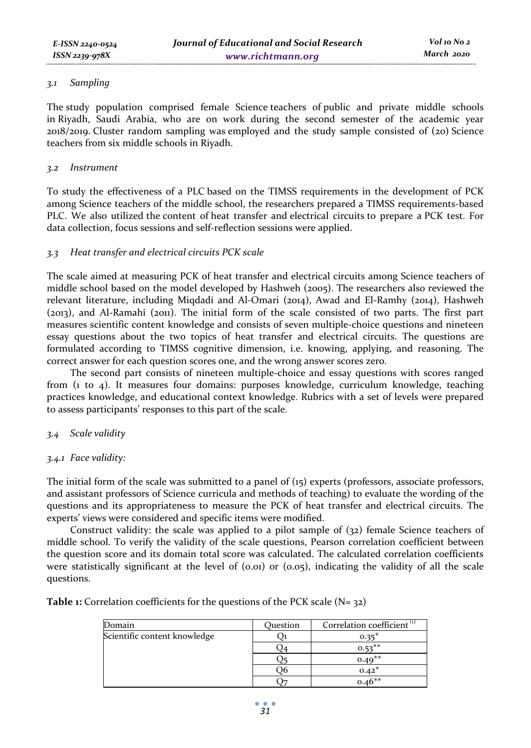## *3.1 Sampling*

The study population comprised female Science teachers of public and private middle schools in Riyadh, Saudi Arabia, who are on work during the second semester of the academic year 2018/2019. Cluster random sampling was employed and the study sample consisted of (20) Science teachers from six middle schools in Riyadh.

## *3.2 Instrument*

To study the effectiveness of a PLC based on the TIMSS requirements in the development of PCK among Science teachers of the middle school, the researchers prepared a TIMSS requirements-based PLC. We also utilized the content of heat transfer and electrical circuits to prepare a PCK test. For data collection, focus sessions and self-reflection sessions were applied.

## *3.3 Heat transfer and electrical circuits PCK scale*

The scale aimed at measuring PCK of heat transfer and electrical circuits among Science teachers of middle school based on the model developed by Hashweh (2005). The researchers also reviewed the relevant literature, including Miqdadi and Al-Omari (2014), Awad and El-Ramhy (2014), Hashweh (2013), and Al-Ramahi (2011). The initial form of the scale consisted of two parts. The first part measures scientific content knowledge and consists of seven multiple-choice questions and nineteen essay questions about the two topics of heat transfer and electrical circuits. The questions are formulated according to TIMSS cognitive dimension, i.e. knowing, applying, and reasoning. The correct answer for each question scores one, and the wrong answer scores zero.

The second part consists of nineteen multiple-choice and essay questions with scores ranged from (1 to 4). It measures four domains: purposes knowledge, curriculum knowledge, teaching practices knowledge, and educational context knowledge. Rubrics with a set of levels were prepared to assess participants' responses to this part of the scale.

## *3.4 Scale validity*

## *3.4.1 Face validity:*

The initial form of the scale was submitted to a panel of (15) experts (professors, associate professors, and assistant professors of Science curricula and methods of teaching) to evaluate the wording of the questions and its appropriateness to measure the PCK of heat transfer and electrical circuits. The experts' views were considered and specific items were modified.

Construct validity: the scale was applied to a pilot sample of (32) female Science teachers of middle school. To verify the validity of the scale questions, Pearson correlation coefficient between the question score and its domain total score was calculated. The calculated correlation coefficients were statistically significant at the level of  $(0.01)$  or  $(0.05)$ , indicating the validity of all the scale questions.

> Domain **Correlation** Correlation coefficient<sup>(1)</sup> Scientific content knowledge Q1 0.35\*  $Q_4$  0.53<sup>\*\*</sup>  $Q_5$  0.49<sup>\*\*</sup>  $0.42^*$  $Q_7$  0.46\*\*

**Table 1:** Correlation coefficients for the questions of the PCK scale (N= 32)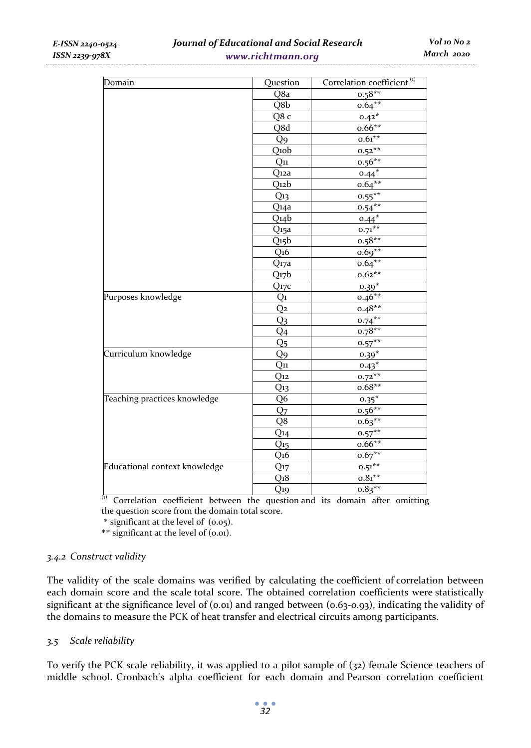| Domain                        | Question              | Correlation coefficient <sup>(1)</sup> |
|-------------------------------|-----------------------|----------------------------------------|
|                               | Q8a                   | $0.58**$                               |
|                               | Q8b                   | $0.64***$                              |
|                               | Q8 c                  | $0.42*$                                |
|                               | Q8d                   | $0.66**$                               |
|                               | Q <sub>9</sub>        | $0.61***$                              |
|                               | Q10b                  | $0.52***$                              |
|                               | $Q_{11}$              | $0.56**$                               |
|                               | Q <sub>12</sub> a     | $0.44*$                                |
|                               | $Q$ <sub>12</sub> $b$ | $0.64***$                              |
|                               | Q <sub>13</sub>       | $0.55***$                              |
|                               | Q14a                  | $0.54***$                              |
|                               | Q14b                  | $0.44*$                                |
|                               | Q <sub>15</sub> a     | $0.71***$                              |
|                               | Q15b                  | $0.58**$                               |
|                               | Q <sub>16</sub>       | $0.69**$                               |
|                               | Q <sub>17a</sub>      | $0.64***$                              |
|                               | Q17b                  | $0.62**$                               |
|                               | $Q_{17}c$             | $0.39*$                                |
| Purposes knowledge            | Q1                    | $0.46**$                               |
|                               | Q2                    | $0.48**$                               |
|                               | Q3                    | $0.74***$                              |
|                               | Q <sub>4</sub>        | $0.78**$                               |
|                               | Q5                    | $0.57***$                              |
| Curriculum knowledge          | Q9                    | $0.39*$                                |
|                               | Q11                   | $0.43*$                                |
|                               | $Q_{12}$              | $0.72***$                              |
|                               | $Q_{13}$              | $0.68**$                               |
| Teaching practices knowledge  | Q6                    | $0.35*$                                |
|                               | Q <sub>7</sub>        | $0.56***$                              |
|                               | Q8                    | $0.63***$                              |
|                               | $Q_{14}$              | $0.57***$                              |
|                               | $Q_{15}$              | $0.66**$                               |
|                               | Q16                   | $0.67**$                               |
| Educational context knowledge | $Q_{17}$              | $0.51***$                              |
|                               | Q <sub>1</sub> 8      | $0.81**$                               |
|                               | Q19                   | $0.83**$                               |

 $(1)$  Correlation coefficient between the question and its domain after omitting the question score from the domain total score.

\* significant at the level of (0.05).

\*\* significant at the level of (0.01).

## *3.4.2 Construct validity*

The validity of the scale domains was verified by calculating the coefficient of correlation between each domain score and the scale total score. The obtained correlation coefficients were statistically significant at the significance level of  $(0.01)$  and ranged between  $(0.63-0.93)$ , indicating the validity of the domains to measure the PCK of heat transfer and electrical circuits among participants.

## *3.5 Scale reliability*

To verify the PCK scale reliability, it was applied to a pilot sample of (32) female Science teachers of middle school. Cronbach's alpha coefficient for each domain and Pearson correlation coefficient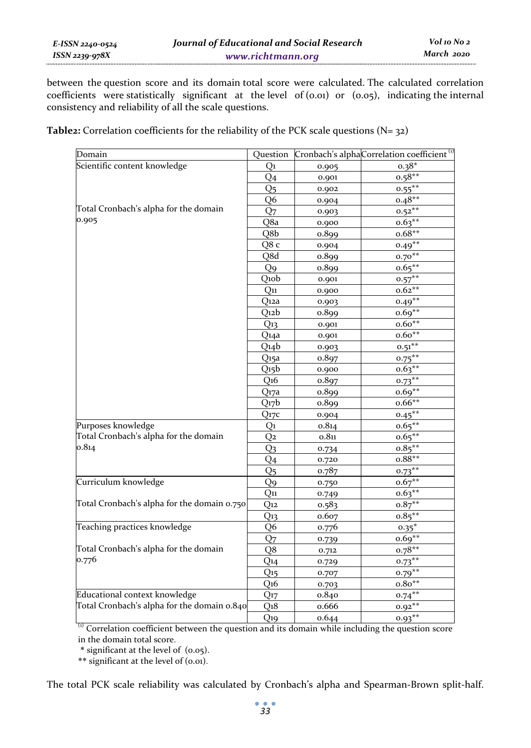between the question score and its domain total score were calculated. The calculated correlation coefficients were statistically significant at the level of (0.01) or (0.05), indicating the internal consistency and reliability of all the scale questions.

**Table2:** Correlation coefficients for the reliability of the PCK scale questions (N= 32)

| Domain                                      | Ouestion         |       | Cronbach's alphaCorrelation coefficient <sup>(1)</sup> |
|---------------------------------------------|------------------|-------|--------------------------------------------------------|
| Scientific content knowledge                | Q1               | 0.905 | $0.38*$                                                |
|                                             | Q <sub>4</sub>   | 0.901 | $0.58***$                                              |
|                                             | Q5               | 0.902 | $0.55***$                                              |
|                                             | Q6               | 0.904 | $0.48**$                                               |
| Total Cronbach's alpha for the domain       | Q <sub>7</sub>   | 0.903 | $0.52***$                                              |
| 0.905                                       | Q8a              | 0.900 | $0.63***$                                              |
|                                             | Q8b              | 0.899 | $0.68**$                                               |
|                                             | Q8 c             | 0.904 | $0.49**$                                               |
|                                             | Q8d              | 0.899 | $0.70***$                                              |
|                                             | Q <sub>9</sub>   | 0.899 | $0.65***$                                              |
|                                             | Q10b             | 0.901 | $0.57***$                                              |
|                                             | $Q_{11}$         | 0.900 | $0.62**$                                               |
|                                             | Q <sub>12a</sub> | 0.903 | $0.49**$                                               |
|                                             | Q12b             | 0.899 | $0.69**$                                               |
|                                             | Q <sub>13</sub>  | 0.901 | $0.60**$                                               |
|                                             | Q14a             | 0.901 | $0.60**$                                               |
|                                             | Q14b             | 0.903 | $0.51***$                                              |
|                                             | Q <sub>15a</sub> | 0.897 | $0.75***$                                              |
|                                             | Q15b             | 0.900 | $0.63**$                                               |
|                                             | Q <sub>16</sub>  | 0.897 | $0.73***$                                              |
|                                             | Q <sub>17a</sub> | 0.899 | $0.69**$                                               |
|                                             | Q17b             | 0.899 | $0.66**$                                               |
|                                             | Q <sub>17c</sub> | 0.904 | $0.45***$                                              |
| Purposes knowledge                          | Q1               | 0.814 | $0.65***$                                              |
| Total Cronbach's alpha for the domain       | Q2               | 0.811 | $0.65***$                                              |
| 0.814                                       | Q3               | 0.734 | $0.85***$                                              |
|                                             | Q4               | 0.720 | $0.88**$                                               |
|                                             | Q <sub>5</sub>   | 0.787 | $0.73***$                                              |
| Curriculum knowledge                        | Q9               | 0.750 | $0.67**$                                               |
|                                             | $Q_{11}$         | 0.749 | $0.63***$                                              |
| Total Cronbach's alpha for the domain 0.750 | $Q_{12}$         | 0.583 | $0.87**$                                               |
|                                             | Q13              | 0.607 | $0.85***$                                              |
| Teaching practices knowledge                | Q6               | 0.776 | $0.35^*$                                               |
|                                             | Q <sub>7</sub>   | 0.739 | $0.69**$                                               |
| Total Cronbach's alpha for the domain       | Q8               | 0.712 | $0.78**$                                               |
| 0.776                                       | Q14              | 0.729 | $0.73***$                                              |
|                                             | $Q_{15}$         | 0.707 | $0.79**$                                               |
|                                             | Q <sub>16</sub>  | 0.703 | $0.80**$                                               |
| Educational context knowledge               | $Q_{17}$         | 0.840 | $0.74***$                                              |
| Total Cronbach's alpha for the domain 0.840 | Q18              | 0.666 | $0.92**$                                               |
|                                             | $Q_{19}$         | 0.644 | $0.93**$                                               |

 $<sup>(1)</sup>$  Correlation coefficient between the question and its domain while including the question score</sup> in the domain total score.

\* significant at the level of (0.05).

\*\* significant at the level of (0.01).

The total PCK scale reliability was calculated by Cronbach's alpha and Spearman-Brown split-half.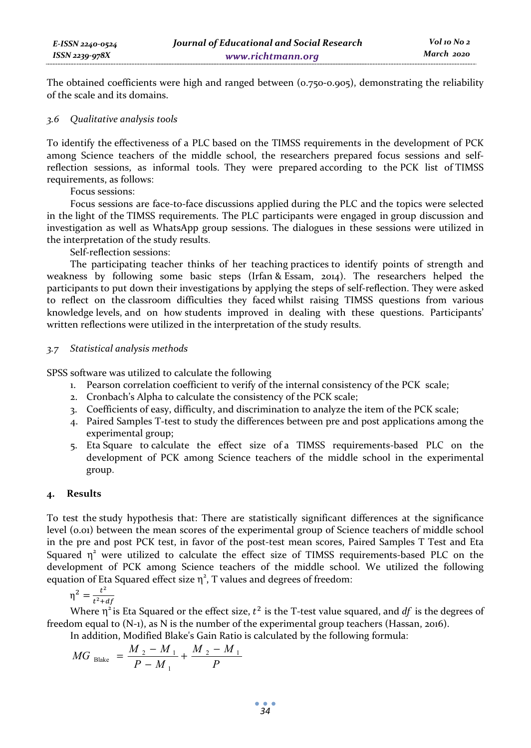The obtained coefficients were high and ranged between (0.750-0.905), demonstrating the reliability of the scale and its domains.

### *3.6 Qualitative analysis tools*

To identify the effectiveness of a PLC based on the TIMSS requirements in the development of PCK among Science teachers of the middle school, the researchers prepared focus sessions and selfreflection sessions, as informal tools. They were prepared according to the PCK list of TIMSS requirements, as follows:

Focus sessions:

Focus sessions are face-to-face discussions applied during the PLC and the topics were selected in the light of the TIMSS requirements. The PLC participants were engaged in group discussion and investigation as well as WhatsApp group sessions. The dialogues in these sessions were utilized in the interpretation of the study results.

Self-reflection sessions:

The participating teacher thinks of her teaching practices to identify points of strength and weakness by following some basic steps (Irfan & Essam, 2014). The researchers helped the participants to put down their investigations by applying the steps of self-reflection. They were asked to reflect on the classroom difficulties they faced whilst raising TIMSS questions from various knowledge levels, and on how students improved in dealing with these questions. Participants' written reflections were utilized in the interpretation of the study results.

## *3.7 Statistical analysis methods*

SPSS software was utilized to calculate the following

- 1. Pearson correlation coefficient to verify of the internal consistency of the PCK scale;
- 2. Cronbach's Alpha to calculate the consistency of the PCK scale;
- 3. Coefficients of easy, difficulty, and discrimination to analyze the item of the PCK scale;
- 4. Paired Samples T-test to study the differences between pre and post applications among the experimental group;
- 5. Eta Square to calculate the effect size of a TIMSS requirements-based PLC on the development of PCK among Science teachers of the middle school in the experimental group.

## **4. Results**

To test the study hypothesis that: There are statistically significant differences at the significance level (0.01) between the mean scores of the experimental group of Science teachers of middle school in the pre and post PCK test, in favor of the post-test mean scores, Paired Samples T Test and Eta Squared  $\eta^2$  were utilized to calculate the effect size of TIMSS requirements-based PLC on the development of PCK among Science teachers of the middle school. We utilized the following equation of Eta Squared effect size  $\eta^2$ , T values and degrees of freedom:

$$
\eta^2 = \frac{t^2}{t^2 + df}
$$

Where  $\eta^2$  is Eta Squared or the effect size,  $t^2$  is the T-test value squared, and *df* is the degrees of freedom equal to (N-1), as N is the number of the experimental group teachers (Hassan, 2016).

In addition, Modified Blake's Gain Ratio is calculated by the following formula:

$$
MG_{\text{Black}} = \frac{M_2 - M_1}{P - M_1} + \frac{M_2 - M_1}{P}
$$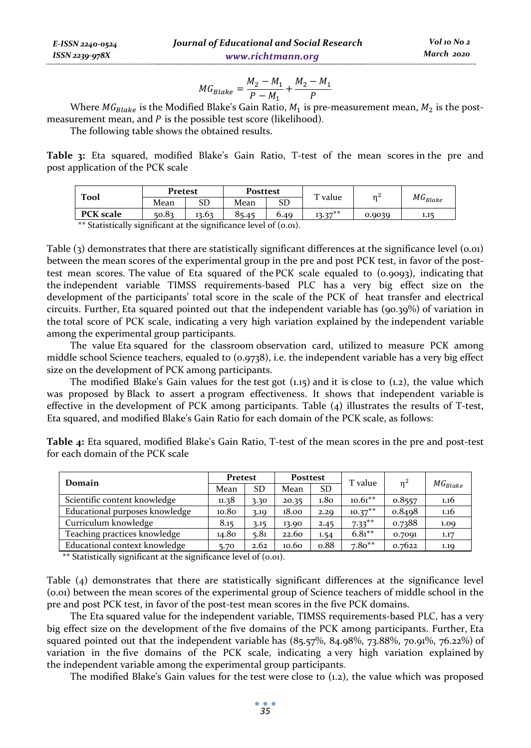$$
MG_{Blacke} = \frac{M_2 - M_1}{P - M_1} + \frac{M_2 - M_1}{P}
$$

Where  $MG_{Black}$  is the Modified Blake's Gain Ratio,  $M_1$  is pre-measurement mean,  $M_2$  is the postmeasurement mean, and  $P$  is the possible test score (likelihood).

The following table shows the obtained results.

*E-ISSN 2240-0524 ISSN 2239-978X*

**Table 3:** Eta squared, modified Blake's Gain Ratio, T-test of the mean scores in the pre and post application of the PCK scale

| Tool             |       | Pretest |       | <b>Posttest</b> | $T$ value | n      |               |
|------------------|-------|---------|-------|-----------------|-----------|--------|---------------|
|                  | Mean  | SD      | Mean  | SD              |           |        | $MG_{Blacke}$ |
| <b>PCK</b> scale | 50.83 | 13.63   | 85.45 | 6.40            | $13.37**$ | 0.9039 | 1.15          |

\*\* Statistically significant at the significance level of (0.01).

Table (3) demonstrates that there are statistically significant differences at the significance level (0.01) between the mean scores of the experimental group in the pre and post PCK test, in favor of the posttest mean scores. The value of Eta squared of the PCK scale equaled to (0.9093), indicating that the independent variable TIMSS requirements-based PLC has a very big effect size on the development of the participants' total score in the scale of the PCK of heat transfer and electrical circuits. Further, Eta squared pointed out that the independent variable has (90.39%) of variation in the total score of PCK scale, indicating a very high variation explained by the independent variable among the experimental group participants.

The value Eta squared for the classroom observation card, utilized to measure PCK among middle school Science teachers, equaled to (0.9738), i.e. the independent variable has a very big effect size on the development of PCK among participants.

The modified Blake's Gain values for the test got  $(1.15)$  and it is close to  $(1.2)$ , the value which was proposed by Black to assert a program effectiveness. It shows that independent variable is effective in the development of PCK among participants. Table (4) illustrates the results of T-test, Eta squared, and modified Blake's Gain Ratio for each domain of the PCK scale, as follows:

| <b>Table 4:</b> Eta squared, modified Blake's Gain Ratio, T-test of the mean scores in the pre and post-test |
|--------------------------------------------------------------------------------------------------------------|
| for each domain of the PCK scale                                                                             |
|                                                                                                              |

| Domain                         | Pretest |      | <b>Posttest</b> |                  | T value   | $n^2$  |               |
|--------------------------------|---------|------|-----------------|------------------|-----------|--------|---------------|
|                                | Mean    | SD   | Mean            | <b>SD</b>        |           |        | $MG_{Blacke}$ |
| Scientific content knowledge   | 11.38   | 3.30 | 20.35           | 1.8 <sub>O</sub> | $10.61**$ | 0.8557 | 1.16          |
| Educational purposes knowledge | 10.80   | 3.19 | 18.00           | 2.29             | $10.37**$ | 0.8498 | 1.16          |
| Curriculum knowledge           | 8.15    | 3.15 | 13.90           | 2.45             | $7.33***$ | 0.7388 | 1.09          |
| Teaching practices knowledge   | 14.80   | 5.81 | 22.60           | 1.54             | $6.81***$ | 0.7091 | 1.17          |
| Educational context knowledge  | 5.70    | 2.62 | 10.60           | 0.88             | $7.80**$  | 0.7622 | 1.19          |

\*\* Statistically significant at the significance level of (0.01).

Table (4) demonstrates that there are statistically significant differences at the significance level (0.01) between the mean scores of the experimental group of Science teachers of middle school in the pre and post PCK test, in favor of the post-test mean scores in the five PCK domains.

The Eta squared value for the independent variable, TIMSS requirements-based PLC, has a very big effect size on the development of the five domains of the PCK among participants. Further, Eta squared pointed out that the independent variable has (85.57%, 84.98%, 73.88%, 70.91%, 76.22%) of variation in the five domains of the PCK scale, indicating a very high variation explained by the independent variable among the experimental group participants.

The modified Blake's Gain values for the test were close to (1.2), the value which was proposed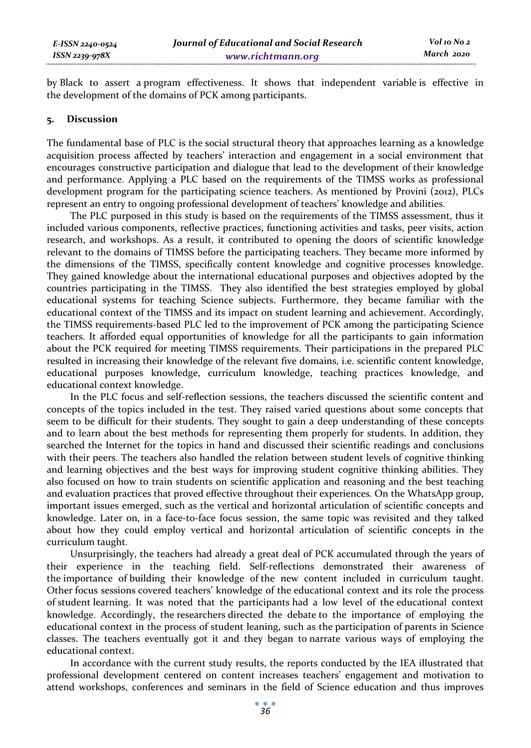by Black to assert a program effectiveness. It shows that independent variable is effective in the development of the domains of PCK among participants.

#### **5. Discussion**

The fundamental base of PLC is the social structural theory that approaches learning as a knowledge acquisition process affected by teachers' interaction and engagement in a social environment that encourages constructive participation and dialogue that lead to the development of their knowledge and performance. Applying a PLC based on the requirements of the TIMSS works as professional development program for the participating science teachers. As mentioned by Provini (2012), PLCs represent an entry to ongoing professional development of teachers' knowledge and abilities.

The PLC purposed in this study is based on the requirements of the TIMSS assessment, thus it included various components, reflective practices, functioning activities and tasks, peer visits, action research, and workshops. As a result, it contributed to opening the doors of scientific knowledge relevant to the domains of TIMSS before the participating teachers. They became more informed by the dimensions of the TIMSS, specifically content knowledge and cognitive processes knowledge. They gained knowledge about the international educational purposes and objectives adopted by the countries participating in the TIMSS. They also identified the best strategies employed by global educational systems for teaching Science subjects. Furthermore, they became familiar with the educational context of the TIMSS and its impact on student learning and achievement. Accordingly, the TIMSS requirements-based PLC led to the improvement of PCK among the participating Science teachers. It afforded equal opportunities of knowledge for all the participants to gain information about the PCK required for meeting TIMSS requirements. Their participations in the prepared PLC resulted in increasing their knowledge of the relevant five domains, i.e. scientific content knowledge, educational purposes knowledge, curriculum knowledge, teaching practices knowledge, and educational context knowledge.

In the PLC focus and self-reflection sessions, the teachers discussed the scientific content and concepts of the topics included in the test. They raised varied questions about some concepts that seem to be difficult for their students. They sought to gain a deep understanding of these concepts and to learn about the best methods for representing them properly for students. In addition, they searched the Internet for the topics in hand and discussed their scientific readings and conclusions with their peers. The teachers also handled the relation between student levels of cognitive thinking and learning objectives and the best ways for improving student cognitive thinking abilities. They also focused on how to train students on scientific application and reasoning and the best teaching and evaluation practices that proved effective throughout their experiences. On the WhatsApp group, important issues emerged, such as the vertical and horizontal articulation of scientific concepts and knowledge. Later on, in a face-to-face focus session, the same topic was revisited and they talked about how they could employ vertical and horizontal articulation of scientific concepts in the curriculum taught.

Unsurprisingly, the teachers had already a great deal of PCK accumulated through the years of their experience in the teaching field. Self-reflections demonstrated their awareness of the importance of building their knowledge of the new content included in curriculum taught. Other focus sessions covered teachers' knowledge of the educational context and its role the process of student learning. It was noted that the participants had a low level of the educational context knowledge. Accordingly, the researchers directed the debate to the importance of employing the educational context in the process of student leaning, such as the participation of parents in Science classes. The teachers eventually got it and they began to narrate various ways of employing the educational context.

In accordance with the current study results, the reports conducted by the IEA illustrated that professional development centered on content increases teachers' engagement and motivation to attend workshops, conferences and seminars in the field of Science education and thus improves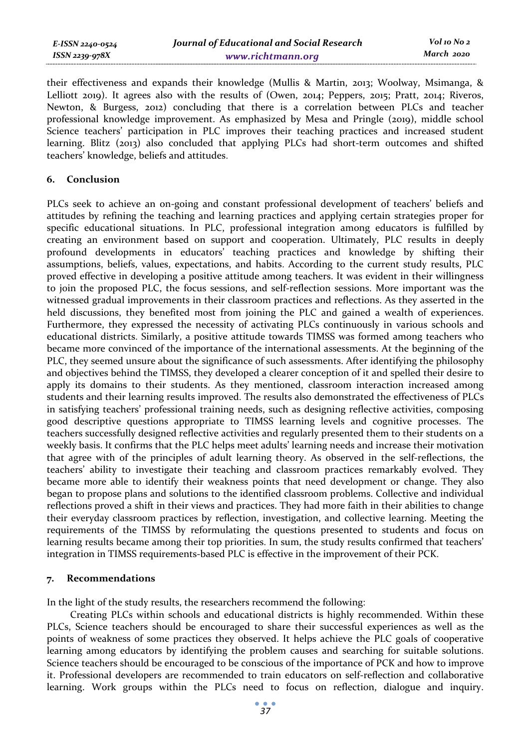| E-ISSN 2240-0524 | Journal of Educational and Social Research | Vol 10 No 2 |
|------------------|--------------------------------------------|-------------|
| ISSN 2239-978X   | www.richtmann.org                          | March 2020  |

their effectiveness and expands their knowledge (Mullis & Martin, 2013; Woolway, Msimanga, & Lelliott 2019). It agrees also with the results of (Owen, 2014; Peppers, 2015; Pratt, 2014; Riveros, Newton, & Burgess, 2012) concluding that there is a correlation between PLCs and teacher professional knowledge improvement. As emphasized by Mesa and Pringle (2019), middle school Science teachers' participation in PLC improves their teaching practices and increased student learning. Blitz (2013) also concluded that applying PLCs had short-term outcomes and shifted teachers' knowledge, beliefs and attitudes.

### **6. Conclusion**

PLCs seek to achieve an on-going and constant professional development of teachers' beliefs and attitudes by refining the teaching and learning practices and applying certain strategies proper for specific educational situations. In PLC, professional integration among educators is fulfilled by creating an environment based on support and cooperation. Ultimately, PLC results in deeply profound developments in educators' teaching practices and knowledge by shifting their assumptions, beliefs, values, expectations, and habits. According to the current study results, PLC proved effective in developing a positive attitude among teachers. It was evident in their willingness to join the proposed PLC, the focus sessions, and self-reflection sessions. More important was the witnessed gradual improvements in their classroom practices and reflections. As they asserted in the held discussions, they benefited most from joining the PLC and gained a wealth of experiences. Furthermore, they expressed the necessity of activating PLCs continuously in various schools and educational districts. Similarly, a positive attitude towards TIMSS was formed among teachers who became more convinced of the importance of the international assessments. At the beginning of the PLC, they seemed unsure about the significance of such assessments. After identifying the philosophy and objectives behind the TIMSS, they developed a clearer conception of it and spelled their desire to apply its domains to their students. As they mentioned, classroom interaction increased among students and their learning results improved. The results also demonstrated the effectiveness of PLCs in satisfying teachers' professional training needs, such as designing reflective activities, composing good descriptive questions appropriate to TIMSS learning levels and cognitive processes. The teachers successfully designed reflective activities and regularly presented them to their students on a weekly basis. It confirms that the PLC helps meet adults' learning needs and increase their motivation that agree with of the principles of adult learning theory. As observed in the self-reflections, the teachers' ability to investigate their teaching and classroom practices remarkably evolved. They became more able to identify their weakness points that need development or change. They also began to propose plans and solutions to the identified classroom problems. Collective and individual reflections proved a shift in their views and practices. They had more faith in their abilities to change their everyday classroom practices by reflection, investigation, and collective learning. Meeting the requirements of the TIMSS by reformulating the questions presented to students and focus on learning results became among their top priorities. In sum, the study results confirmed that teachers' integration in TIMSS requirements-based PLC is effective in the improvement of their PCK.

#### **7. Recommendations**

In the light of the study results, the researchers recommend the following:

Creating PLCs within schools and educational districts is highly recommended. Within these PLCs, Science teachers should be encouraged to share their successful experiences as well as the points of weakness of some practices they observed. It helps achieve the PLC goals of cooperative learning among educators by identifying the problem causes and searching for suitable solutions. Science teachers should be encouraged to be conscious of the importance of PCK and how to improve it. Professional developers are recommended to train educators on self-reflection and collaborative learning. Work groups within the PLCs need to focus on reflection, dialogue and inquiry.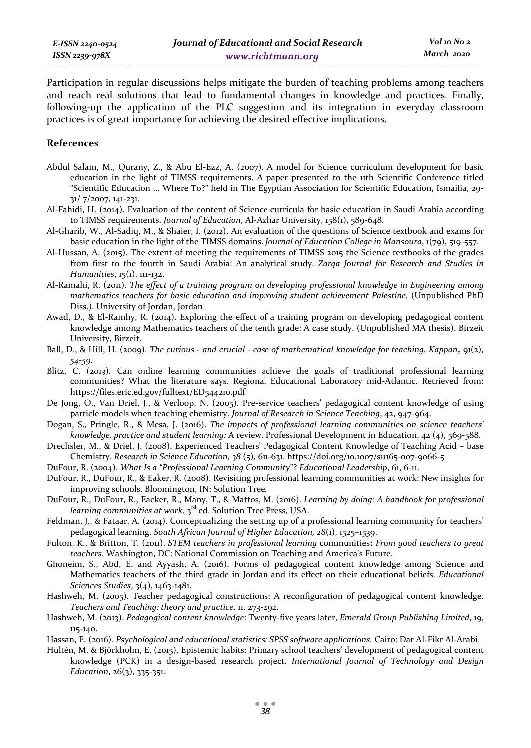Participation in regular discussions helps mitigate the burden of teaching problems among teachers and reach real solutions that lead to fundamental changes in knowledge and practices. Finally, following-up the application of the PLC suggestion and its integration in everyday classroom practices is of great importance for achieving the desired effective implications.

#### **References**

- Abdul Salam, M., Qurany, Z., & Abu El-Ezz, A. (2007). A model for Science curriculum development for basic education in the light of TIMSS requirements. A paper presented to the 11th Scientific Conference titled "Scientific Education ... Where To?" held in The Egyptian Association for Scientific Education, Ismailia, 29- 31/ 7/2007, 141-231.
- Al-Fahidi, H. (2014). Evaluation of the content of Science curricula for basic education in Saudi Arabia according to TIMSS requirements. *Journal of Education*, Al-Azhar University, 158(1), 589-648.
- Al-Gharib, W., Al-Sadiq, M., & Shaier, I. (2012). An evaluation of the questions of Science textbook and exams for basic education in the light of the TIMSS domains. *Journal of Education College in Mansoura*, 1(79), 519-557.
- Al-Hussan, A. (2015). The extent of meeting the requirements of TIMSS 2015 the Science textbooks of the grades from first to the fourth in Saudi Arabia: An analytical study. *Zarqa Journal for Research and Studies in Humanities*, 15(1), 111-132.
- Al-Ramahi, R. (2011). *The effect of a training program on developing professional knowledge in Engineering among mathematics teachers for basic education and improving student achievement Palestine.* (Unpublished PhD Diss.). University of Jordan, Jordan.
- Awad, D., & El-Ramhy, R. (2014). Exploring the effect of a training program on developing pedagogical content knowledge among Mathematics teachers of the tenth grade: A case study. (Unpublished MA thesis). Birzeit University, Birzeit.
- Ball, D., & Hill, H. (2009). *The curious and crucial case of mathematical knowledge for teaching. Kappan***,** 91(2), *54-59.*
- Blitz, C. (2013). Can online learning communities achieve the goals of traditional professional learning communities? What the literature says. Regional Educational Laboratory mid-Atlantic. Retrieved from: https://files.eric.ed.gov/fulltext/ED544210.pdf
- De Jong, O., Van Driel, J., & Verloop, N. (2005). Pre-service teachers' pedagogical content knowledge of using particle models when teaching chemistry. *Journal of Research in Science Teaching*, 42, 947-964.
- Dogan, S., Pringle, R., & Mesa, J. (2016). *The impacts of professional learning communities on science teachers' knowledge, practice and student learning:* A review. Professional Development in Education, 42 (4), 569-588.
- Drechsler, M., & Driel, J. (2008). Experienced Teachers' Pedagogical Content Knowledge of Teaching Acid base Chemistry. *Research in Science Education, 38* (5), 611-631. https://doi.org/10.1007/s11165-007-9066-5
- DuFour, R. (2004). *What Is a "Professional Learning Community*"? *Educational Leadership*, 61, 6-11.
- DuFour, R., DuFour, R., & Eaker, R. (2008). Revisiting professional learning communities at work: New insights for improving schools. Bloomington, IN: Solution Tree.
- DuFour, R., DuFour, R., Eacker, R., Many, T., & Mattos, M. (2016). *Learning by doing: A handbook for professional learning communities at work.* 3<sup>rd</sup> ed. Solution Tree Press, USA.
- Feldman, J., & Fataar, A. (2014). Conceptualizing the setting up of a professional learning community for teachers' pedagogical learning. *South African Journal of Higher Education, 28*(1), 1525–1539.
- Fulton, K., & Britton, T. (2011). *STEM teachers in professional learning* communities**:** *From good teachers to great teachers*. Washington, DC: National Commission on Teaching and America's Future.
- Ghoneim, S., Abd, E. and Ayyash, A. (2016). Forms of pedagogical content knowledge among Science and Mathematics teachers of the third grade in Jordan and its effect on their educational beliefs. *Educational Sciences Studies*, 3(4), 1463-1481.
- Hashweh, M. (2005). Teacher pedagogical constructions: A reconfiguration of pedagogical content knowledge. *Teachers and Teaching: theory and practice*. 11. 273-292.
- Hashweh, M. (2013). *Pedagogical content knowledge*: Twenty-five years later, *Emerald Group Publishing Limited*, 19, 115-140.
- Hassan, E. (2016). *Psychological and educational statistics: SPSS software applications.* Cairo: Dar Al-Fikr Al-Arabi.
- Hultén, M. & Björkholm, E. (2015). Epistemic habits: Primary school teachers' development of pedagogical content knowledge (PCK) in a design-based research project. *International Journal of Technology and Design Education*, 26(3), 335-351.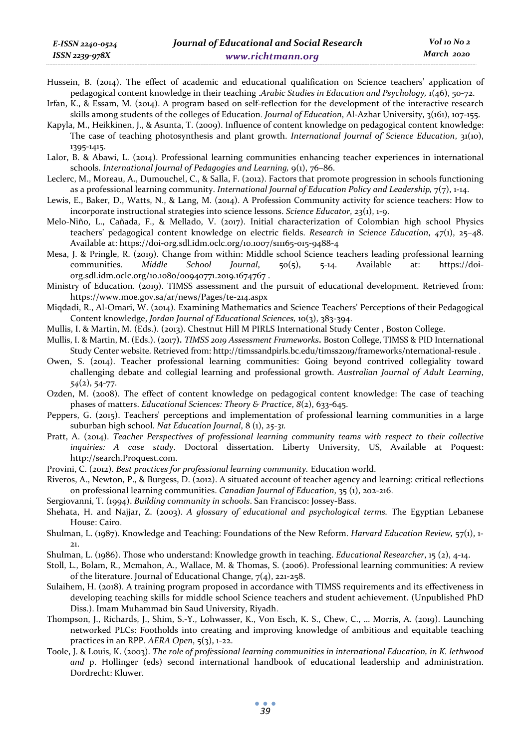- Hussein, B. (2014). The effect of academic and educational qualification on Science teachers' application of pedagogical content knowledge in their teaching .*Arabic Studies in Education and Psychology,* 1(46), 50-72.
- Irfan, K., & Essam, M. (2014). A program based on self-reflection for the development of the interactive research skills among students of the colleges of Education. *Journal of Education*, Al-Azhar University, 3(161), 107-155.
- Kapyla, M., Heikkinen, J., & Asunta, T. (2009). Influence of content knowledge on pedagogical content knowledge: The case of teaching photosynthesis and plant growth. *International Journal of Science Education*, 31(10), 1395-1415.
- Lalor, B. & Abawi, L. (2014). Professional learning communities enhancing teacher experiences in international schools. *International Journal of Pedagogies and Learning,* 9(1), 76–86.
- Leclerc, M., Moreau, A., Dumouchel, C., & Salla, F. (2012). Factors that promote progression in schools functioning as a professional learning community. *International Journal of Education Policy and Leadership*,  $7(7)$ , 1-14.
- Lewis, E., Baker, D., Watts, N., & Lang, M. (2014). A Profession Community activity for science teachers: How to incorporate instructional strategies into science lessons. *Science Educator*, 23(1), 1-9.
- Melo-Niño, L., Cañada, F., & Mellado, V. (2017). Initial characterization of Colombian high school Physics teachers' pedagogical content knowledge on electric fields. *Research in Science Education*, *47*(1), 25–48. Available at: https://doi-org.sdl.idm.oclc.org/10.1007/s11165-015-9488-4
- Mesa, J. & Pringle, R. (2019). Change from within: Middle school Science teachers leading professional learning communities. *Middle School Journal*, 50(5), 5-14. Available at: https://doiorg.sdl.idm.oclc.org/10.1080/00940771.2019.1674767 .
- Ministry of Education. (2019). TIMSS assessment and the pursuit of educational development. Retrieved from: https://www.moe.gov.sa/ar/news/Pages/te-214.aspx
- Miqdadi, R., Al-Omari, W. (2014). Examining Mathematics and Science Teachers' Perceptions of their Pedagogical Content knowledge, *Jordan Journal of Educational Sciences,* 10(3), 383-394.
- Mullis, I. & Martin, M. (Eds.). (2013). Chestnut Hill M PIRLS International Study Center , Boston College.
- Mullis, I. & Martin, M. (Eds.). (2017**).** *TIMSS 2019 Assessment Frameworks***.** Boston College, TIMSS & PID International Study Center website. Retrieved from: http://timssandpirls.bc.edu/timss2019/frameworks/nternational-resule .
- Owen, S. (2014). Teacher professional learning communities: Going beyond contrived collegiality toward challenging debate and collegial learning and professional growth. *Australian Journal of Adult Learning*, *54*(2), 54-77.
- Ozden, M. (2008). The effect of content knowledge on pedagogical content knowledge: The case of teaching phases of matters. *Educational Sciences: Theory & Practice*, *8*(2), 633-645.
- Peppers, G. (2015). Teachers' perceptions and implementation of professional learning communities in a large suburban high school. *Nat Education Journal*, 8 (1), *25-31.*
- Pratt, A. (2014). *Teacher Perspectives of professional learning community teams with respect to their collective inquiries: A case study*. Doctoral dissertation. Liberty University, US, Available at Poquest: http://search.Proquest.com.
- Provini, C. (2012). *Best practices for professional learning community.* Education world.
- Riveros, A., Newton, P., & Burgess, D. (2012). A situated account of teacher agency and learning: critical reflections on professional learning communities. *Canadian Journal of Education*, 35 (1), 202-216.
- Sergiovanni, T. (1994). *Building community in schools*. San Francisco: Jossey-Bass.
- Shehata, H. and Najjar, Z. (2003). *A glossary of educational and psychological terms.* The Egyptian Lebanese House: Cairo.
- Shulman, L. (1987). Knowledge and Teaching: Foundations of the New Reform. *Harvard Education Review,* 57(1), 1- 21.
- Shulman, L. (1986). Those who understand: Knowledge growth in teaching. *Educational Researcher*, 15 (2), 4-14.
- Stoll, L., Bolam, R., Mcmahon, A., Wallace, M. & Thomas, S. (2006). Professional learning communities: A review of the literature. Journal of Educational Change, 7(4), 221-258.
- Sulaihem, H. (2018). A training program proposed in accordance with TIMSS requirements and its effectiveness in developing teaching skills for middle school Science teachers and student achievement. (Unpublished PhD Diss.). Imam Muhammad bin Saud University, Riyadh.
- Thompson, J., Richards, J., Shim, S.-Y., Lohwasser, K., Von Esch, K. S., Chew, C., … Morris, A. (2019). Launching networked PLCs: Footholds into creating and improving knowledge of ambitious and equitable teaching practices in an RPP. *AERA Open*, 5(3), 1-22.
- Toole, J. & Louis, K. (2003). *The role of professional learning communities in international Education, in K. lethwood and* p. Hollinger (eds) second international handbook of educational leadership and administration. Dordrecht: Kluwer.